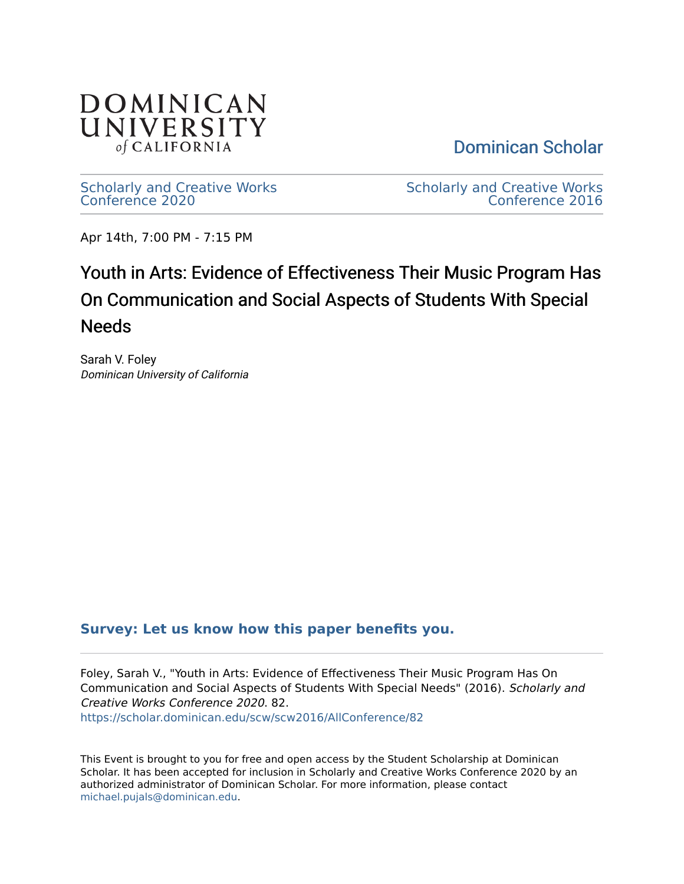

[Dominican Scholar](https://scholar.dominican.edu/) 

[Scholarly and Creative Works](https://scholar.dominican.edu/scw) [Conference 2020](https://scholar.dominican.edu/scw) 

[Scholarly and Creative Works](https://scholar.dominican.edu/scw/scw2016)  [Conference 2016](https://scholar.dominican.edu/scw/scw2016) 

Apr 14th, 7:00 PM - 7:15 PM

#### Youth in Arts: Evidence of Effectiveness Their Music Program Has On Communication and Social Aspects of Students With Special Needs

Sarah V. Foley Dominican University of California

#### **[Survey: Let us know how this paper benefits you.](https://dominican.libwizard.com/dominican-scholar-feedback)**

Foley, Sarah V., "Youth in Arts: Evidence of Effectiveness Their Music Program Has On Communication and Social Aspects of Students With Special Needs" (2016). Scholarly and Creative Works Conference 2020. 82. [https://scholar.dominican.edu/scw/scw2016/AllConference/82](https://scholar.dominican.edu/scw/scw2016/AllConference/82?utm_source=scholar.dominican.edu%2Fscw%2Fscw2016%2FAllConference%2F82&utm_medium=PDF&utm_campaign=PDFCoverPages)

This Event is brought to you for free and open access by the Student Scholarship at Dominican Scholar. It has been accepted for inclusion in Scholarly and Creative Works Conference 2020 by an authorized administrator of Dominican Scholar. For more information, please contact [michael.pujals@dominican.edu.](mailto:michael.pujals@dominican.edu)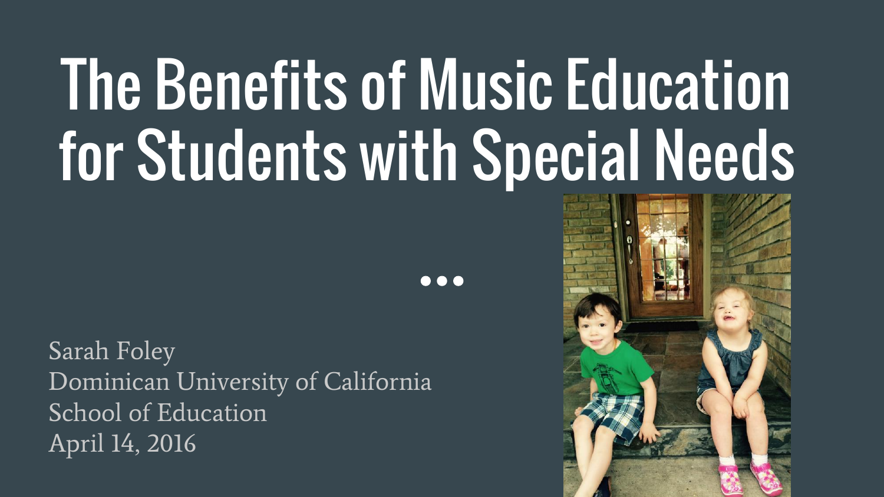# The Benefits of Music Education for Students with Special Needs

...

Sarah Foley Dominican University of California School of Education April 14, 2016

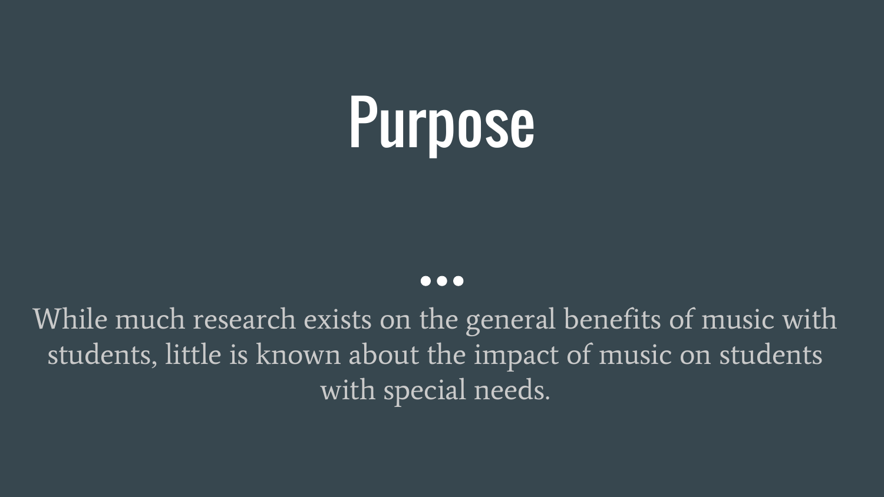

#### $\bullet\bullet\bullet$

While much research exists on the general benefits of music with students, little is known about the impact of music on students with special needs.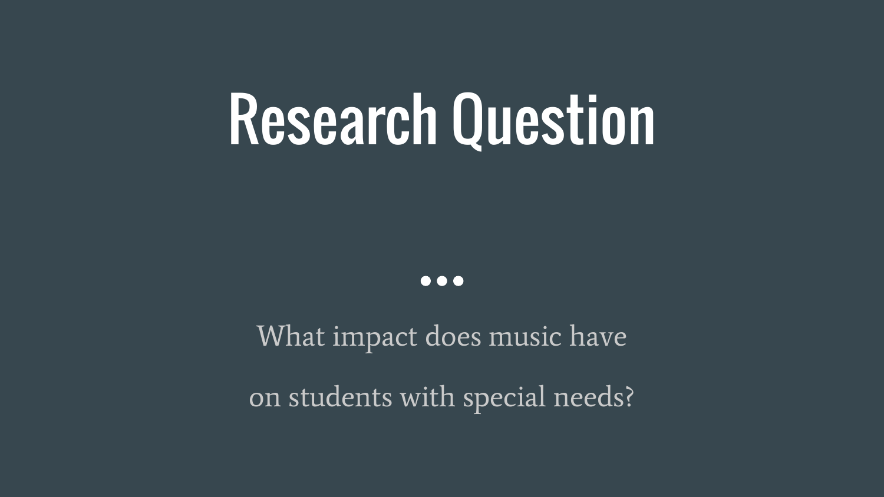### Research Question

 $\bullet\bullet\bullet$ 

What impact does music have on students with special needs?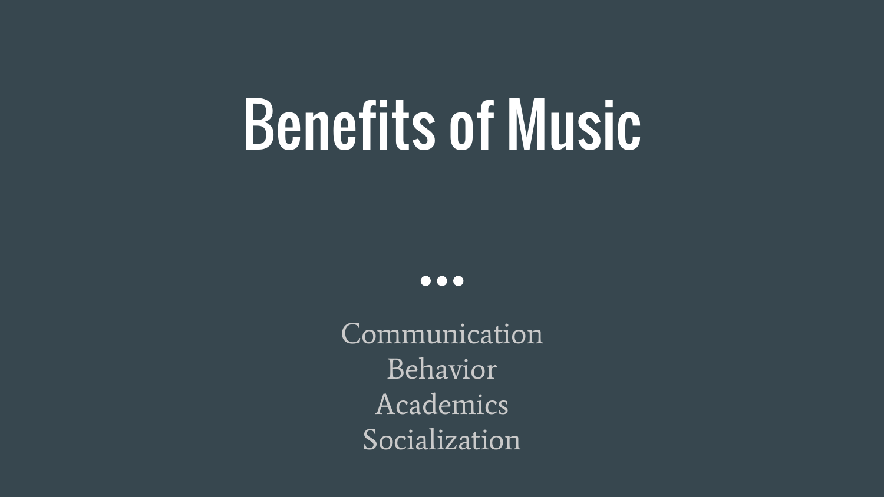### Benefits of Music

 $\bullet\bullet\bullet$ 

Communication Behavior Academics Socialization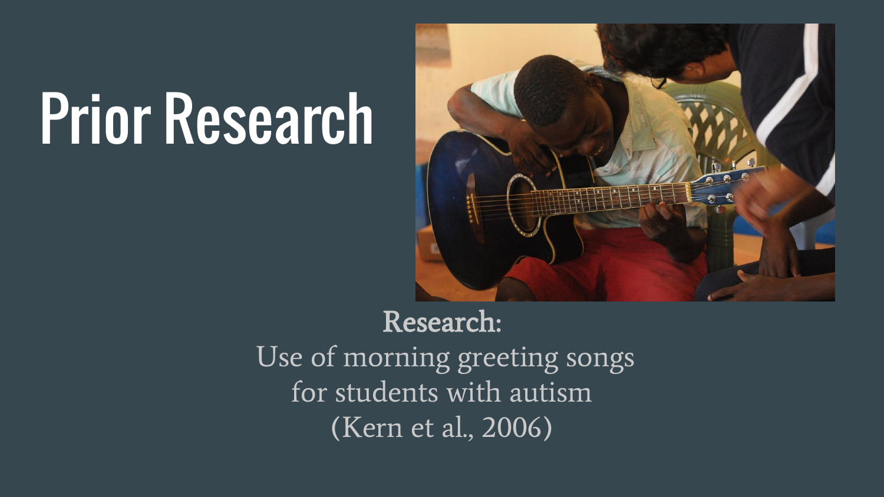

#### Research:

Use of morning greeting songs for students with autism (Kern et al., 2006)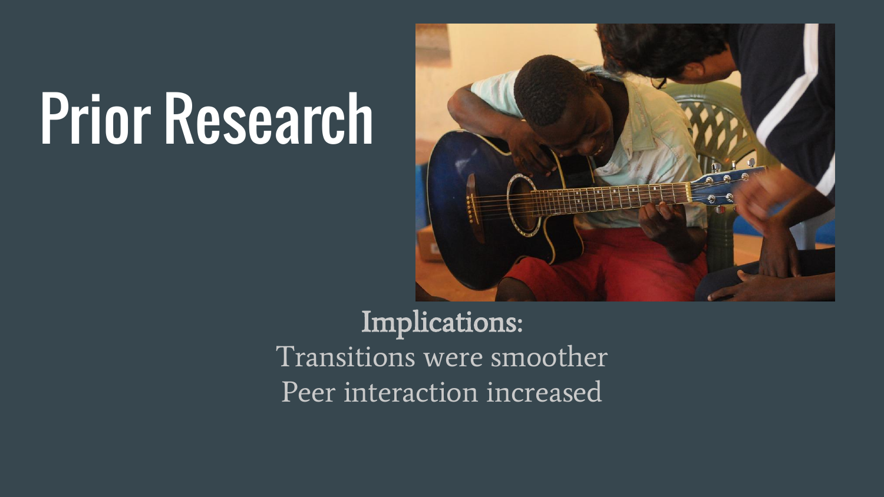

Implications: Transitions were smoother Peer interaction increased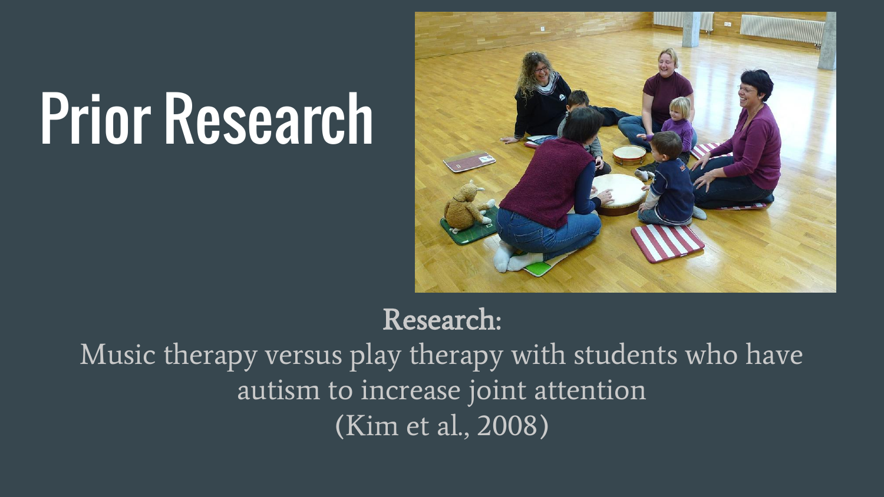

Research: Music therapy versus play therapy with students who have autism to increase joint attention (Kim et al., 2008)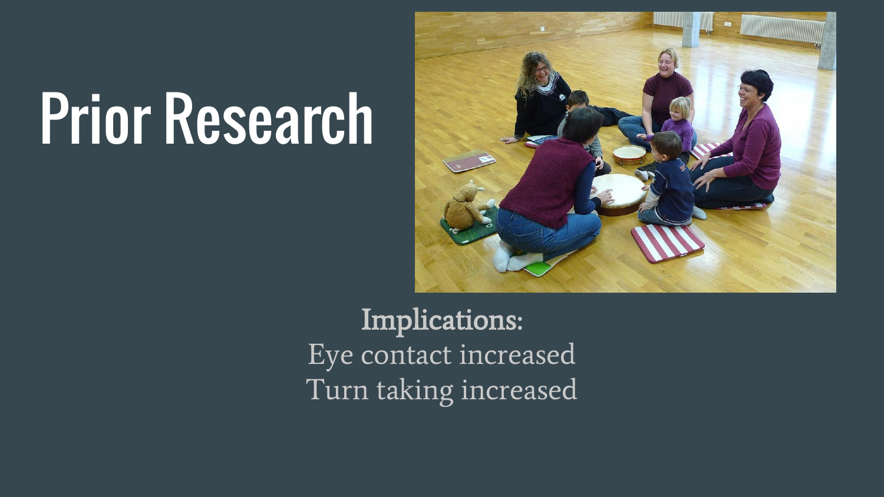

Implications: Eye contact increased Turn taking increased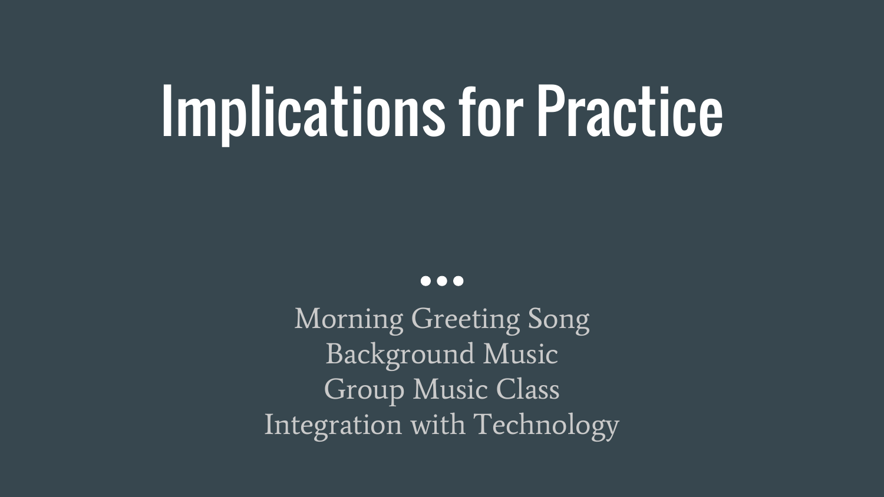### Implications for Practice

 $\bullet\bullet\bullet$ 

Morning Greeting Song Background Music Group Music Class Integration with Technology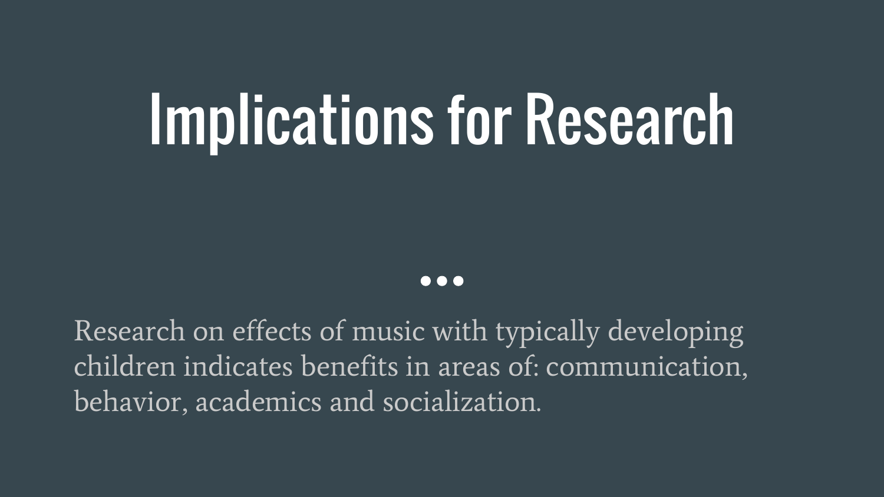## Implications for Research

#### **. . .**

Research on effects of music with typically developing children indicates benefits in areas of: communication, behavior, academics and socialization.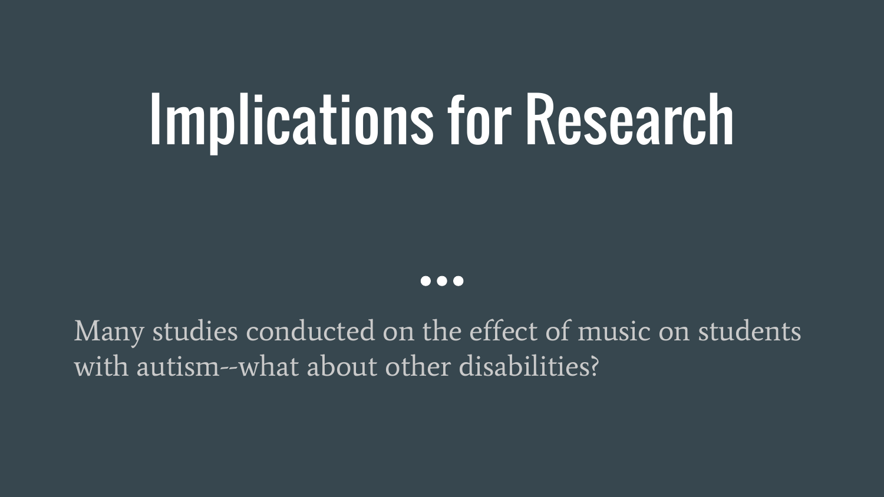## Implications for Research

#### $\bullet\bullet\bullet$

Many studies conducted on the effect of music on students with autism--what about other disabilities?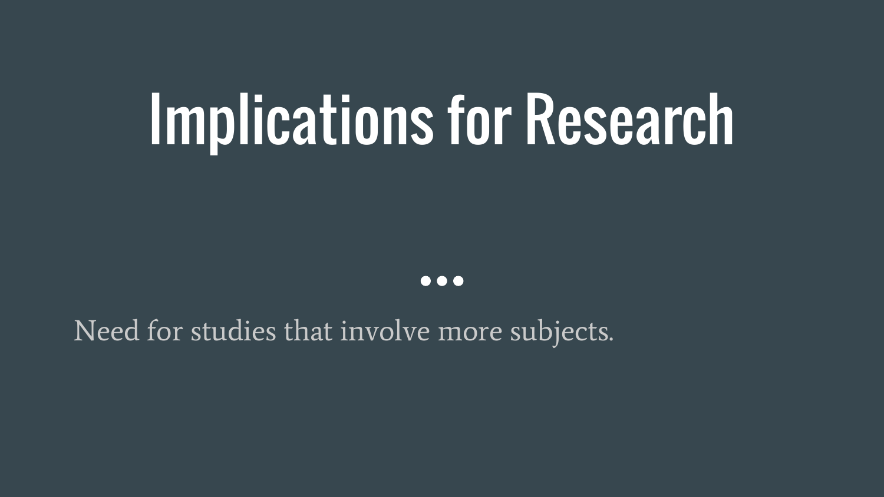### Implications for Research

 $\bullet\bullet\bullet$ 

Need for studies that involve more subjects.